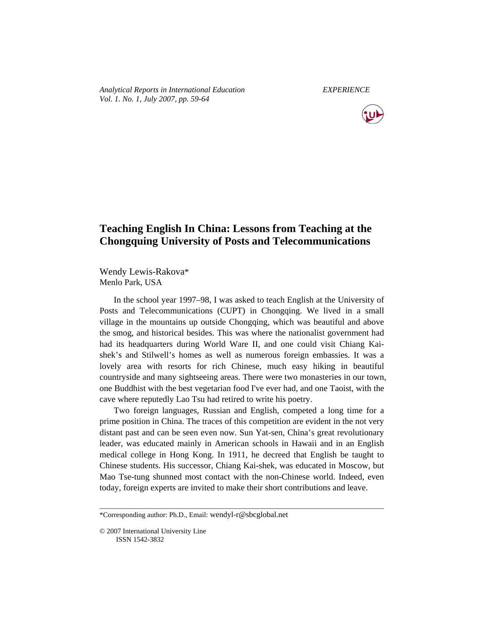*Analytical Reports in International Education EXPERIENCE Vol. 1. No. 1, July 2007, pp. 59-64* 



# **Teaching English In China: Lessons from Teaching at the Chongquing University of Posts and Telecommunications**

Wendy Lewis-Rakova\* Menlo Park, USA

In the school year 1997–98, I was asked to teach English at the University of Posts and Telecommunications (CUPT) in Chongqing. We lived in a small village in the mountains up outside Chongqing, which was beautiful and above the smog, and historical besides. This was where the nationalist government had had its headquarters during World Ware II, and one could visit Chiang Kaishek's and Stilwell's homes as well as numerous foreign embassies. It was a lovely area with resorts for rich Chinese, much easy hiking in beautiful countryside and many sightseeing areas. There were two monasteries in our town, one Buddhist with the best vegetarian food I've ever had, and one Taoist, with the cave where reputedly Lao Tsu had retired to write his poetry.

Two foreign languages, Russian and English, competed a long time for a prime position in China. The traces of this competition are evident in the not very distant past and can be seen even now. Sun Yat-sen, China's great revolutionary leader, was educated mainly in American schools in Hawaii and in an English medical college in Hong Kong. In 1911, he decreed that English be taught to Chinese students. His successor, Chiang Kai-shek, was educated in Moscow, but Mao Tse-tung shunned most contact with the non-Chinese world. Indeed, even today, foreign experts are invited to make their short contributions and leave.

\_\_\_\_\_\_\_\_\_\_\_\_\_\_\_\_\_\_\_\_\_\_\_\_\_\_\_\_\_\_\_\_\_\_\_\_\_\_\_\_\_\_\_\_\_\_\_\_\_\_\_\_\_\_\_\_\_\_\_\_\_\_\_\_\_\_\_\_\_\_\_\_\_\_\_\_\_\_\_\_

<sup>\*</sup>Corresponding author: Ph.D., Email: wendyl-r@sbcglobal.net

<sup>© 2007</sup> International University Line ISSN 1542-3832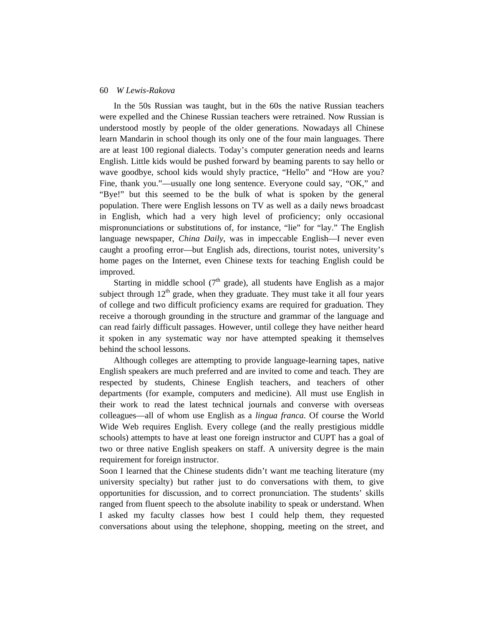### 60 *W Lewis-Rakova*

In the 50s Russian was taught, but in the 60s the native Russian teachers were expelled and the Chinese Russian teachers were retrained. Now Russian is understood mostly by people of the older generations. Nowadays all Chinese learn Mandarin in school though its only one of the four main languages. There are at least 100 regional dialects. Today's computer generation needs and learns English. Little kids would be pushed forward by beaming parents to say hello or wave goodbye, school kids would shyly practice, "Hello" and "How are you? Fine, thank you."—usually one long sentence. Everyone could say, "OK," and "Bye!" but this seemed to be the bulk of what is spoken by the general population. There were English lessons on TV as well as a daily news broadcast in English, which had a very high level of proficiency; only occasional mispronunciations or substitutions of, for instance, "lie" for "lay." The English language newspaper, *China Daily*, was in impeccable English—I never even caught a proofing error—but English ads, directions, tourist notes, university's home pages on the Internet, even Chinese texts for teaching English could be improved.

Starting in middle school ( $7<sup>th</sup>$  grade), all students have English as a major subject through  $12<sup>th</sup>$  grade, when they graduate. They must take it all four years of college and two difficult proficiency exams are required for graduation. They receive a thorough grounding in the structure and grammar of the language and can read fairly difficult passages. However, until college they have neither heard it spoken in any systematic way nor have attempted speaking it themselves behind the school lessons.

Although colleges are attempting to provide language-learning tapes, native English speakers are much preferred and are invited to come and teach. They are respected by students, Chinese English teachers, and teachers of other departments (for example, computers and medicine). All must use English in their work to read the latest technical journals and converse with overseas colleagues—all of whom use English as a *lingua franca*. Of course the World Wide Web requires English. Every college (and the really prestigious middle schools) attempts to have at least one foreign instructor and CUPT has a goal of two or three native English speakers on staff. A university degree is the main requirement for foreign instructor.

Soon I learned that the Chinese students didn't want me teaching literature (my university specialty) but rather just to do conversations with them, to give opportunities for discussion, and to correct pronunciation. The students' skills ranged from fluent speech to the absolute inability to speak or understand. When I asked my faculty classes how best I could help them, they requested conversations about using the telephone, shopping, meeting on the street, and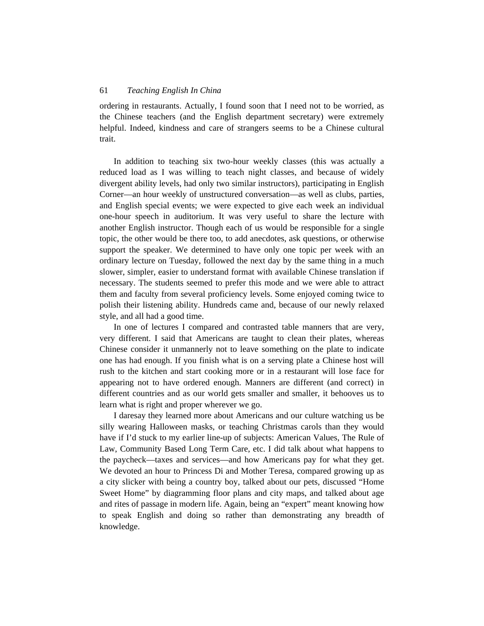# 61 *Teaching English In China*

ordering in restaurants. Actually, I found soon that I need not to be worried, as the Chinese teachers (and the English department secretary) were extremely helpful. Indeed, kindness and care of strangers seems to be a Chinese cultural trait.

In addition to teaching six two-hour weekly classes (this was actually a reduced load as I was willing to teach night classes, and because of widely divergent ability levels, had only two similar instructors), participating in English Corner—an hour weekly of unstructured conversation—as well as clubs, parties, and English special events; we were expected to give each week an individual one-hour speech in auditorium. It was very useful to share the lecture with another English instructor. Though each of us would be responsible for a single topic, the other would be there too, to add anecdotes, ask questions, or otherwise support the speaker. We determined to have only one topic per week with an ordinary lecture on Tuesday, followed the next day by the same thing in a much slower, simpler, easier to understand format with available Chinese translation if necessary. The students seemed to prefer this mode and we were able to attract them and faculty from several proficiency levels. Some enjoyed coming twice to polish their listening ability. Hundreds came and, because of our newly relaxed style, and all had a good time.

In one of lectures I compared and contrasted table manners that are very, very different. I said that Americans are taught to clean their plates, whereas Chinese consider it unmannerly not to leave something on the plate to indicate one has had enough. If you finish what is on a serving plate a Chinese host will rush to the kitchen and start cooking more or in a restaurant will lose face for appearing not to have ordered enough. Manners are different (and correct) in different countries and as our world gets smaller and smaller, it behooves us to learn what is right and proper wherever we go.

I daresay they learned more about Americans and our culture watching us be silly wearing Halloween masks, or teaching Christmas carols than they would have if I'd stuck to my earlier line-up of subjects: American Values, The Rule of Law, Community Based Long Term Care, etc. I did talk about what happens to the paycheck—taxes and services—and how Americans pay for what they get. We devoted an hour to Princess Di and Mother Teresa, compared growing up as a city slicker with being a country boy, talked about our pets, discussed "Home Sweet Home" by diagramming floor plans and city maps, and talked about age and rites of passage in modern life. Again, being an "expert" meant knowing how to speak English and doing so rather than demonstrating any breadth of knowledge.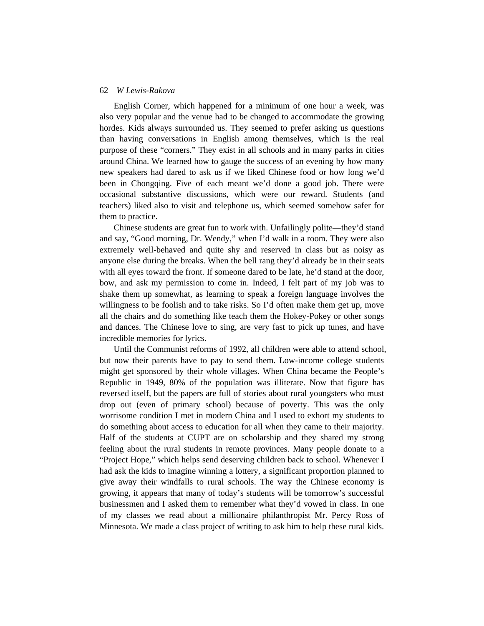#### 62 *W Lewis-Rakova*

English Corner, which happened for a minimum of one hour a week, was also very popular and the venue had to be changed to accommodate the growing hordes. Kids always surrounded us. They seemed to prefer asking us questions than having conversations in English among themselves, which is the real purpose of these "corners." They exist in all schools and in many parks in cities around China. We learned how to gauge the success of an evening by how many new speakers had dared to ask us if we liked Chinese food or how long we'd been in Chongqing. Five of each meant we'd done a good job. There were occasional substantive discussions, which were our reward. Students (and teachers) liked also to visit and telephone us, which seemed somehow safer for them to practice.

Chinese students are great fun to work with. Unfailingly polite—they'd stand and say, "Good morning, Dr. Wendy," when I'd walk in a room. They were also extremely well-behaved and quite shy and reserved in class but as noisy as anyone else during the breaks. When the bell rang they'd already be in their seats with all eyes toward the front. If someone dared to be late, he'd stand at the door, bow, and ask my permission to come in. Indeed, I felt part of my job was to shake them up somewhat, as learning to speak a foreign language involves the willingness to be foolish and to take risks. So I'd often make them get up, move all the chairs and do something like teach them the Hokey-Pokey or other songs and dances. The Chinese love to sing, are very fast to pick up tunes, and have incredible memories for lyrics.

Until the Communist reforms of 1992, all children were able to attend school, but now their parents have to pay to send them. Low-income college students might get sponsored by their whole villages. When China became the People's Republic in 1949, 80% of the population was illiterate. Now that figure has reversed itself, but the papers are full of stories about rural youngsters who must drop out (even of primary school) because of poverty. This was the only worrisome condition I met in modern China and I used to exhort my students to do something about access to education for all when they came to their majority. Half of the students at CUPT are on scholarship and they shared my strong feeling about the rural students in remote provinces. Many people donate to a "Project Hope," which helps send deserving children back to school. Whenever I had ask the kids to imagine winning a lottery, a significant proportion planned to give away their windfalls to rural schools. The way the Chinese economy is growing, it appears that many of today's students will be tomorrow's successful businessmen and I asked them to remember what they'd vowed in class. In one of my classes we read about a millionaire philanthropist Mr. Percy Ross of Minnesota. We made a class project of writing to ask him to help these rural kids.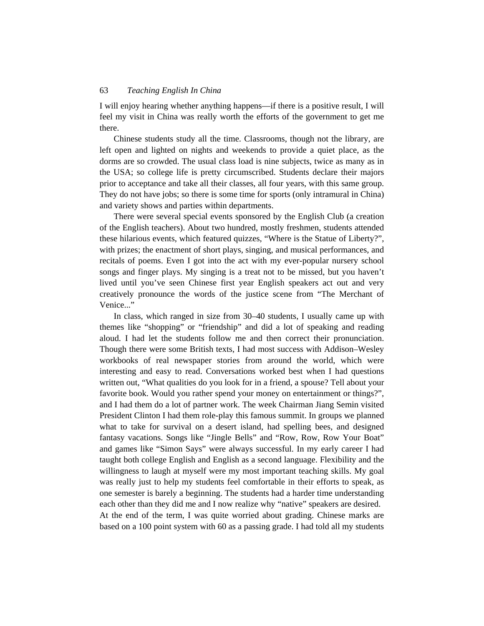# 63 *Teaching English In China*

I will enjoy hearing whether anything happens—if there is a positive result, I will feel my visit in China was really worth the efforts of the government to get me there.

Chinese students study all the time. Classrooms, though not the library, are left open and lighted on nights and weekends to provide a quiet place, as the dorms are so crowded. The usual class load is nine subjects, twice as many as in the USA; so college life is pretty circumscribed. Students declare their majors prior to acceptance and take all their classes, all four years, with this same group. They do not have jobs; so there is some time for sports (only intramural in China) and variety shows and parties within departments.

There were several special events sponsored by the English Club (a creation of the English teachers). About two hundred, mostly freshmen, students attended these hilarious events, which featured quizzes, "Where is the Statue of Liberty?", with prizes; the enactment of short plays, singing, and musical performances, and recitals of poems. Even I got into the act with my ever-popular nursery school songs and finger plays. My singing is a treat not to be missed, but you haven't lived until you've seen Chinese first year English speakers act out and very creatively pronounce the words of the justice scene from "The Merchant of Venice..."

In class, which ranged in size from 30–40 students, I usually came up with themes like "shopping" or "friendship" and did a lot of speaking and reading aloud. I had let the students follow me and then correct their pronunciation. Though there were some British texts, I had most success with Addison–Wesley workbooks of real newspaper stories from around the world, which were interesting and easy to read. Conversations worked best when I had questions written out, "What qualities do you look for in a friend, a spouse? Tell about your favorite book. Would you rather spend your money on entertainment or things?", and I had them do a lot of partner work. The week Chairman Jiang Semin visited President Clinton I had them role-play this famous summit. In groups we planned what to take for survival on a desert island, had spelling bees, and designed fantasy vacations. Songs like "Jingle Bells" and "Row, Row, Row Your Boat" and games like "Simon Says" were always successful. In my early career I had taught both college English and English as a second language. Flexibility and the willingness to laugh at myself were my most important teaching skills. My goal was really just to help my students feel comfortable in their efforts to speak, as one semester is barely a beginning. The students had a harder time understanding each other than they did me and I now realize why "native" speakers are desired. At the end of the term, I was quite worried about grading. Chinese marks are based on a 100 point system with 60 as a passing grade. I had told all my students